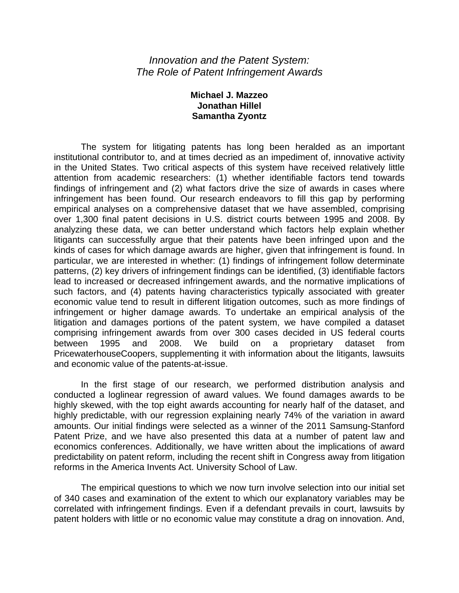## *Innovation and the Patent System: The Role of Patent Infringement Awards*

## **Michael J. Mazzeo Jonathan Hillel Samantha Zyontz**

The system for litigating patents has long been heralded as an important institutional contributor to, and at times decried as an impediment of, innovative activity in the United States. Two critical aspects of this system have received relatively little attention from academic researchers: (1) whether identifiable factors tend towards findings of infringement and (2) what factors drive the size of awards in cases where infringement has been found. Our research endeavors to fill this gap by performing empirical analyses on a comprehensive dataset that we have assembled, comprising over 1,300 final patent decisions in U.S. district courts between 1995 and 2008. By analyzing these data, we can better understand which factors help explain whether litigants can successfully argue that their patents have been infringed upon and the kinds of cases for which damage awards are higher, given that infringement is found. In particular, we are interested in whether: (1) findings of infringement follow determinate patterns, (2) key drivers of infringement findings can be identified, (3) identifiable factors lead to increased or decreased infringement awards, and the normative implications of such factors, and (4) patents having characteristics typically associated with greater economic value tend to result in different litigation outcomes, such as more findings of infringement or higher damage awards. To undertake an empirical analysis of the litigation and damages portions of the patent system, we have compiled a dataset comprising infringement awards from over 300 cases decided in US federal courts between 1995 and 2008. We build on a proprietary dataset from PricewaterhouseCoopers, supplementing it with information about the litigants, lawsuits and economic value of the patents-at-issue.

In the first stage of our research, we performed distribution analysis and conducted a loglinear regression of award values. We found damages awards to be highly skewed, with the top eight awards accounting for nearly half of the dataset, and highly predictable, with our regression explaining nearly 74% of the variation in award amounts. Our initial findings were selected as a winner of the 2011 Samsung-Stanford Patent Prize, and we have also presented this data at a number of patent law and economics conferences. Additionally, we have written about the implications of award predictability on patent reform, including the recent shift in Congress away from litigation reforms in the America Invents Act. University School of Law.

The empirical questions to which we now turn involve selection into our initial set of 340 cases and examination of the extent to which our explanatory variables may be correlated with infringement findings. Even if a defendant prevails in court, lawsuits by patent holders with little or no economic value may constitute a drag on innovation. And,